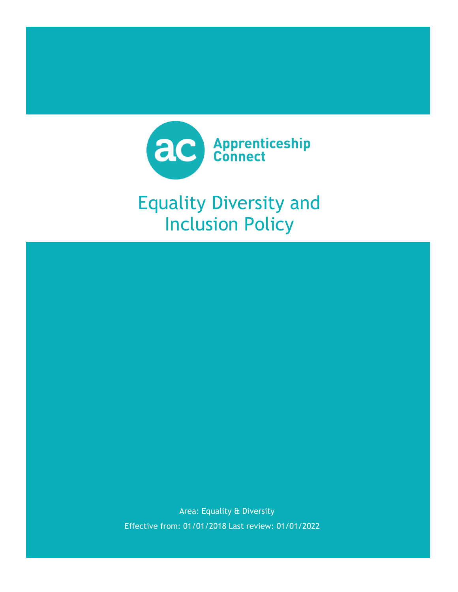

# Equality Diversity and Inclusion Policy

Area: Equality & Diversity Effective from: 01/01/2018 Last review: 01/01/2022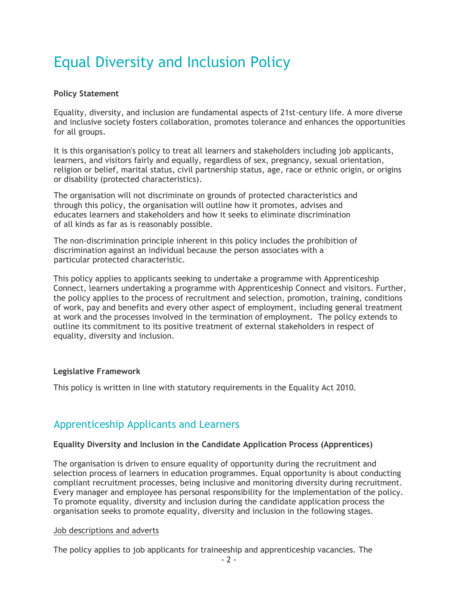## Equal Diversity and Inclusion Policy

#### **Policy Statement**

Equality, diversity, and inclusion are fundamental aspects of 21st-century life. A more diverse and inclusive society fosters collaboration, promotes tolerance and enhances the opportunities for all groups.

It is this organisation's policy to treat all learners and stakeholders including job applicants, learners, and visitors fairly and equally, regardless of sex, pregnancy, sexual orientation, religion or belief, marital status, civil partnership status, age, race or ethnic origin, or origins or disability (protected characteristics).

The organisation will not discriminate on grounds of protected characteristics and through this policy, the organisation will outline how it promotes, advises and educates learners and stakeholders and how it seeks to eliminate discrimination of all kinds as far as is reasonably possible.

The non-discrimination principle inherent in this policy includes the prohibition of discrimination against an individual because the person associates with a particular protected characteristic.

This policy applies to applicants seeking to undertake a programme with Apprenticeship Connect, learners undertaking a programme with Apprenticeship Connect and visitors. Further, the policy applies to the process of recruitment and selection, promotion, training, conditions of work, pay and benefits and every other aspect of employment, including general treatment at work and the processes involved in the termination of employment. The policy extends to outline its commitment to its positive treatment of external stakeholders in respect of equality, diversity and inclusion.

#### **Legislative Framework**

This policy is written in line with statutory requirements in the Equality Act 2010.

### Apprenticeship Applicants and Learners

#### **Equality Diversity and Inclusion in the Candidate Application Process (Apprentices)**

The organisation is driven to ensure equality of opportunity during the recruitment and selection process of learners in education programmes. Equal opportunity is about conducting compliant recruitment processes, being inclusive and monitoring diversity during recruitment. Every manager and employee has personal responsibility for the implementation of the policy. To promote equality, diversity and inclusion during the candidate application process the organisation seeks to promote equality, diversity and inclusion in the following stages.

#### Job descriptions and adverts

The policy applies to job applicants for traineeship and apprenticeship vacancies. The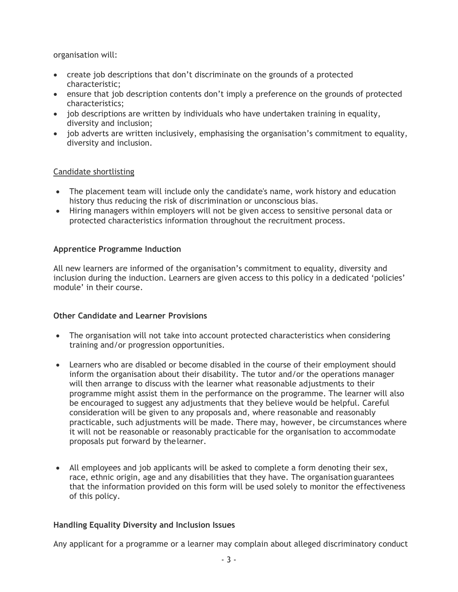organisation will:

- create job descriptions that don't discriminate on the grounds of a protected characteristic;
- ensure that job description contents don't imply a preference on the grounds of protected characteristics;
- job descriptions are written by individuals who have undertaken training in equality, diversity and inclusion;
- job adverts are written inclusively, emphasising the organisation's commitment to equality, diversity and inclusion.

#### Candidate shortlisting

- The placement team will include only the candidate's name, work history and education history thus reducing the risk of discrimination or unconscious bias.
- Hiring managers within employers will not be given access to sensitive personal data or protected characteristics information throughout the recruitment process.

#### **Apprentice Programme Induction**

All new learners are informed of the organisation's commitment to equality, diversity and inclusion during the induction. Learners are given access to this policy in a dedicated 'policies' module' in their course.

#### **Other Candidate and Learner Provisions**

- The organisation will not take into account protected characteristics when considering training and/or progression opportunities.
- Learners who are disabled or become disabled in the course of their employment should inform the organisation about their disability. The tutor and/or the operations manager will then arrange to discuss with the learner what reasonable adjustments to their programme might assist them in the performance on the programme. The learner will also be encouraged to suggest any adjustments that they believe would be helpful. Careful consideration will be given to any proposals and, where reasonable and reasonably practicable, such adjustments will be made. There may, however, be circumstances where it will not be reasonable or reasonably practicable for the organisation to accommodate proposals put forward by thelearner.
- All employees and job applicants will be asked to complete a form denoting their sex, race, ethnic origin, age and any disabilities that they have. The organisation guarantees that the information provided on this form will be used solely to monitor the effectiveness of this policy.

#### **Handling Equality Diversity and Inclusion Issues**

Any applicant for a programme or a learner may complain about alleged discriminatory conduct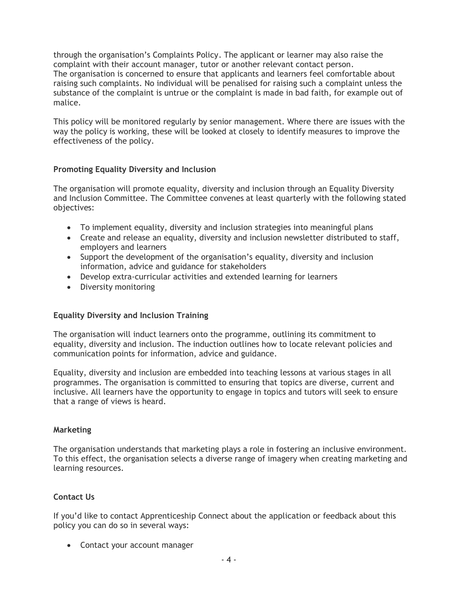through the organisation's Complaints Policy. The applicant or learner may also raise the complaint with their account manager, tutor or another relevant contact person. The organisation is concerned to ensure that applicants and learners feel comfortable about raising such complaints. No individual will be penalised for raising such a complaint unless the substance of the complaint is untrue or the complaint is made in bad faith, for example out of malice.

This policy will be monitored regularly by senior management. Where there are issues with the way the policy is working, these will be looked at closely to identify measures to improve the effectiveness of the policy.

#### **Promoting Equality Diversity and Inclusion**

The organisation will promote equality, diversity and inclusion through an Equality Diversity and Inclusion Committee. The Committee convenes at least quarterly with the following stated objectives:

- To implement equality, diversity and inclusion strategies into meaningful plans
- Create and release an equality, diversity and inclusion newsletter distributed to staff, employers and learners
- Support the development of the organisation's equality, diversity and inclusion information, advice and guidance for stakeholders
- Develop extra-curricular activities and extended learning for learners
- Diversity monitoring

#### **Equality Diversity and Inclusion Training**

The organisation will induct learners onto the programme, outlining its commitment to equality, diversity and inclusion. The induction outlines how to locate relevant policies and communication points for information, advice and guidance.

Equality, diversity and inclusion are embedded into teaching lessons at various stages in all programmes. The organisation is committed to ensuring that topics are diverse, current and inclusive. All learners have the opportunity to engage in topics and tutors will seek to ensure that a range of views is heard.

#### **Marketing**

The organisation understands that marketing plays a role in fostering an inclusive environment. To this effect, the organisation selects a diverse range of imagery when creating marketing and learning resources.

#### **Contact Us**

If you'd like to contact Apprenticeship Connect about the application or feedback about this policy you can do so in several ways:

• Contact your account manager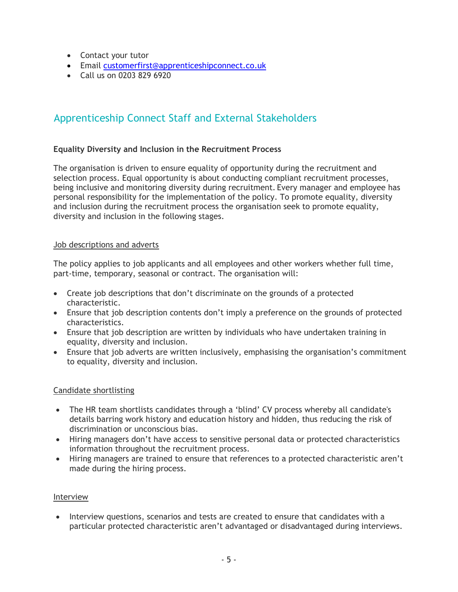- Contact your tutor
- Email [customerfirst@apprenticeshipconnect.co.uk](mailto:customerfirst@apprenticeshipconnect.co.uk)
- Call us on 0203 829 6920

## Apprenticeship Connect Staff and External Stakeholders

#### **Equality Diversity and Inclusion in the Recruitment Process**

The organisation is driven to ensure equality of opportunity during the recruitment and selection process. Equal opportunity is about conducting compliant recruitment processes, being inclusive and monitoring diversity during recruitment. Every manager and employee has personal responsibility for the implementation of the policy. To promote equality, diversity and inclusion during the recruitment process the organisation seek to promote equality, diversity and inclusion in the following stages.

#### Job descriptions and adverts

The policy applies to job applicants and all employees and other workers whether full time, part-time, temporary, seasonal or contract. The organisation will:

- Create job descriptions that don't discriminate on the grounds of a protected characteristic.
- Ensure that job description contents don't imply a preference on the grounds of protected characteristics.
- Ensure that job description are written by individuals who have undertaken training in equality, diversity and inclusion.
- Ensure that job adverts are written inclusively, emphasising the organisation's commitment to equality, diversity and inclusion.

#### Candidate shortlisting

- The HR team shortlists candidates through a 'blind' CV process whereby all candidate's details barring work history and education history and hidden, thus reducing the risk of discrimination or unconscious bias.
- Hiring managers don't have access to sensitive personal data or protected characteristics information throughout the recruitment process.
- Hiring managers are trained to ensure that references to a protected characteristic aren't made during the hiring process.

#### Interview

• Interview questions, scenarios and tests are created to ensure that candidates with a particular protected characteristic aren't advantaged or disadvantaged during interviews.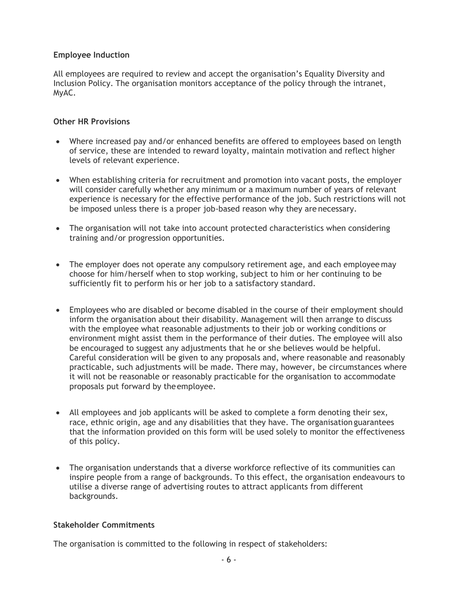#### **Employee Induction**

All employees are required to review and accept the organisation's Equality Diversity and Inclusion Policy. The organisation monitors acceptance of the policy through the intranet, MyAC.

#### **Other HR Provisions**

- Where increased pay and/or enhanced benefits are offered to employees based on length of service, these are intended to reward loyalty, maintain motivation and reflect higher levels of relevant experience.
- When establishing criteria for recruitment and promotion into vacant posts, the employer will consider carefully whether any minimum or a maximum number of years of relevant experience is necessary for the effective performance of the job. Such restrictions will not be imposed unless there is a proper job-based reason why they are necessary.
- The organisation will not take into account protected characteristics when considering training and/or progression opportunities.
- The employer does not operate any compulsory retirement age, and each employee may choose for him/herself when to stop working, subject to him or her continuing to be sufficiently fit to perform his or her job to a satisfactory standard.
- Employees who are disabled or become disabled in the course of their employment should inform the organisation about their disability. Management will then arrange to discuss with the employee what reasonable adjustments to their job or working conditions or environment might assist them in the performance of their duties. The employee will also be encouraged to suggest any adjustments that he or she believes would be helpful. Careful consideration will be given to any proposals and, where reasonable and reasonably practicable, such adjustments will be made. There may, however, be circumstances where it will not be reasonable or reasonably practicable for the organisation to accommodate proposals put forward by theemployee.
- All employees and job applicants will be asked to complete a form denoting their sex, race, ethnic origin, age and any disabilities that they have. The organisation guarantees that the information provided on this form will be used solely to monitor the effectiveness of this policy.
- The organisation understands that a diverse workforce reflective of its communities can inspire people from a range of backgrounds. To this effect, the organisation endeavours to utilise a diverse range of advertising routes to attract applicants from different backgrounds.

#### **Stakeholder Commitments**

The organisation is committed to the following in respect of stakeholders: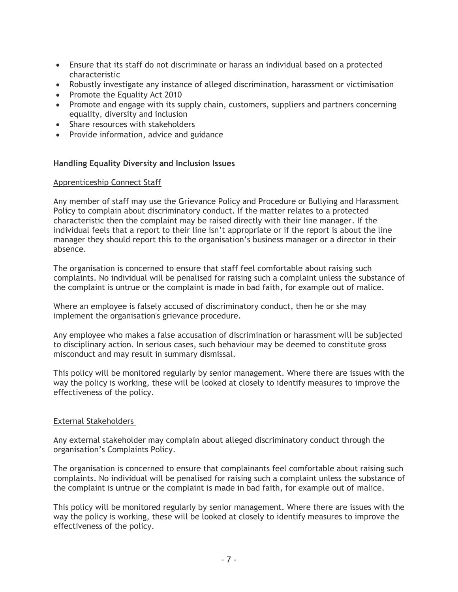- Ensure that its staff do not discriminate or harass an individual based on a protected characteristic
- Robustly investigate any instance of alleged discrimination, harassment or victimisation
- Promote the Equality Act 2010
- Promote and engage with its supply chain, customers, suppliers and partners concerning equality, diversity and inclusion
- Share resources with stakeholders
- Provide information, advice and guidance

#### **Handling Equality Diversity and Inclusion Issues**

#### Apprenticeship Connect Staff

Any member of staff may use the Grievance Policy and Procedure or Bullying and Harassment Policy to complain about discriminatory conduct. If the matter relates to a protected characteristic then the complaint may be raised directly with their line manager. If the individual feels that a report to their line isn't appropriate or if the report is about the line manager they should report this to the organisation's business manager or a director in their absence.

The organisation is concerned to ensure that staff feel comfortable about raising such complaints. No individual will be penalised for raising such a complaint unless the substance of the complaint is untrue or the complaint is made in bad faith, for example out of malice.

Where an employee is falsely accused of discriminatory conduct, then he or she may implement the organisation's grievance procedure.

Any employee who makes a false accusation of discrimination or harassment will be subjected to disciplinary action. In serious cases, such behaviour may be deemed to constitute gross misconduct and may result in summary dismissal.

This policy will be monitored regularly by senior management. Where there are issues with the way the policy is working, these will be looked at closely to identify measures to improve the effectiveness of the policy.

#### External Stakeholders

Any external stakeholder may complain about alleged discriminatory conduct through the organisation's Complaints Policy.

The organisation is concerned to ensure that complainants feel comfortable about raising such complaints. No individual will be penalised for raising such a complaint unless the substance of the complaint is untrue or the complaint is made in bad faith, for example out of malice.

This policy will be monitored regularly by senior management. Where there are issues with the way the policy is working, these will be looked at closely to identify measures to improve the effectiveness of the policy.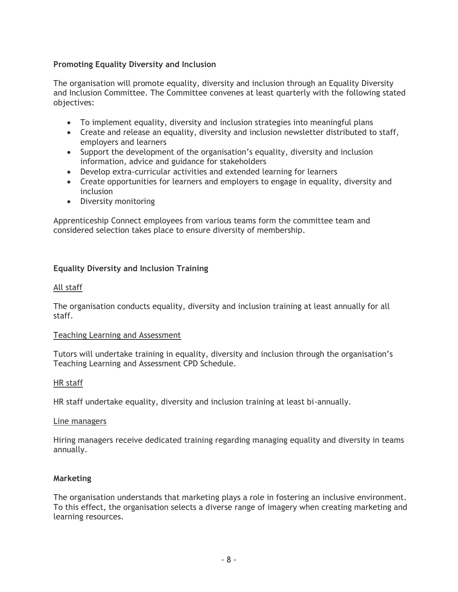#### **Promoting Equality Diversity and Inclusion**

The organisation will promote equality, diversity and inclusion through an Equality Diversity and Inclusion Committee. The Committee convenes at least quarterly with the following stated objectives:

- To implement equality, diversity and inclusion strategies into meaningful plans
- Create and release an equality, diversity and inclusion newsletter distributed to staff, employers and learners
- Support the development of the organisation's equality, diversity and inclusion information, advice and guidance for stakeholders
- Develop extra-curricular activities and extended learning for learners
- Create opportunities for learners and employers to engage in equality, diversity and inclusion
- Diversity monitoring

Apprenticeship Connect employees from various teams form the committee team and considered selection takes place to ensure diversity of membership.

#### **Equality Diversity and Inclusion Training**

#### All staff

The organisation conducts equality, diversity and inclusion training at least annually for all staff.

#### Teaching Learning and Assessment

Tutors will undertake training in equality, diversity and inclusion through the organisation's Teaching Learning and Assessment CPD Schedule.

#### HR staff

HR staff undertake equality, diversity and inclusion training at least bi-annually.

#### Line managers

Hiring managers receive dedicated training regarding managing equality and diversity in teams annually.

#### **Marketing**

The organisation understands that marketing plays a role in fostering an inclusive environment. To this effect, the organisation selects a diverse range of imagery when creating marketing and learning resources.